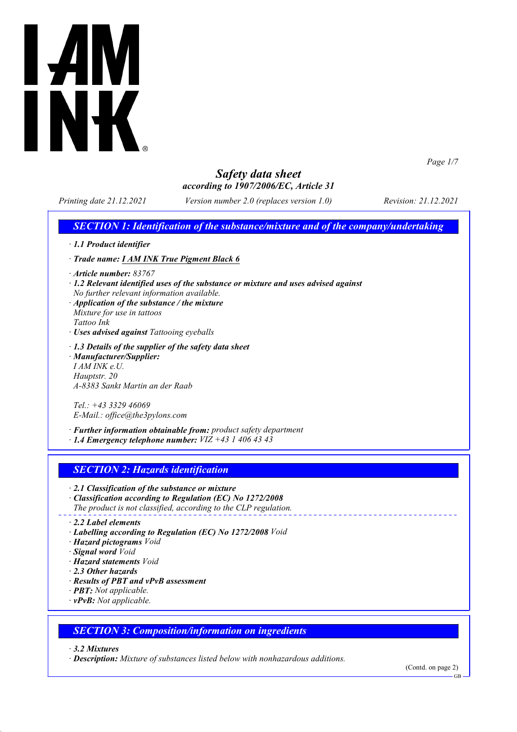

*Page 1/7*

## *Safety data sheet according to 1907/2006/EC, Article 31*

*Printing date 21.12.2021 Version number 2.0 (replaces version 1.0) Revision: 21.12.2021*

## *SECTION 1: Identification of the substance/mixture and of the company/undertaking*

- *· 1.1 Product identifier*
- *· Trade name: I AM INK True Pigment Black 6*
- *· Article number: 83767*
- *· 1.2 Relevant identified uses of the substance or mixture and uses advised against*
- *No further relevant information available. · Application of the substance / the mixture*
- *Mixture for use in tattoos Tattoo Ink*
- *· Uses advised against Tattooing eyeballs*
- *· 1.3 Details of the supplier of the safety data sheet*
- *· Manufacturer/Supplier: I AM INK e.U. Hauptstr. 20 A-8383 Sankt Martin an der Raab*

*Tel.: +43 3329 46069 E-Mail.: office@the3pylons.com*

*· Further information obtainable from: product safety department · 1.4 Emergency telephone number: VIZ +43 1 406 43 43*

## *SECTION 2: Hazards identification*

- *· 2.1 Classification of the substance or mixture*
- *· Classification according to Regulation (EC) No 1272/2008 The product is not classified, according to the CLP regulation.*
- 
- *· 2.2 Label elements*
- *· Labelling according to Regulation (EC) No 1272/2008 Void*
- *· Hazard pictograms Void*
- *· Signal word Void*
- *· Hazard statements Void*
- *· 2.3 Other hazards*
- *· Results of PBT and vPvB assessment*
- *· PBT: Not applicable.*
- *· vPvB: Not applicable.*

### *SECTION 3: Composition/information on ingredients*

*· 3.2 Mixtures*

*· Description: Mixture of substances listed below with nonhazardous additions.*

(Contd. on page 2)

GB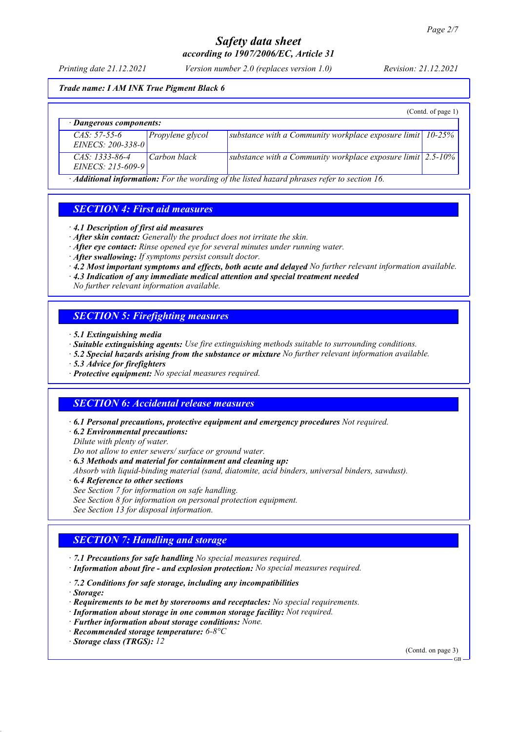### *Printing date 21.12.2021 Version number 2.0 (replaces version 1.0) Revision: 21.12.2021*

#### *Trade name: I AM INK True Pigment Black 6*

|                                           |                  |                                                                             | (Cond. of page 1) |
|-------------------------------------------|------------------|-----------------------------------------------------------------------------|-------------------|
| $\cdot$ Dangerous components:             |                  |                                                                             |                   |
| $CAS: 57-55-6$<br>EINECS: $200 - 338 - 0$ | Propylene glycol | substance with a Community workplace exposure limit $\vert$ 10-25%          |                   |
| $CAS: 1333-86-4$<br>$EINECS: 215-609-9$   | Carbon black     | substance with a Community workplace exposure limit $\sim 2.5{\text -}10\%$ |                   |

*· Additional information: For the wording of the listed hazard phrases refer to section 16.*

## *SECTION 4: First aid measures*

- *· 4.1 Description of first aid measures*
- *· After skin contact: Generally the product does not irritate the skin.*
- *· After eye contact: Rinse opened eye for several minutes under running water.*
- *· After swallowing: If symptoms persist consult doctor.*
- *· 4.2 Most important symptoms and effects, both acute and delayed No further relevant information available.*
- *· 4.3 Indication of any immediate medical attention and special treatment needed*
- *No further relevant information available.*

## *SECTION 5: Firefighting measures*

- *· 5.1 Extinguishing media*
- *· Suitable extinguishing agents: Use fire extinguishing methods suitable to surrounding conditions.*
- *· 5.2 Special hazards arising from the substance or mixture No further relevant information available.*
- *· 5.3 Advice for firefighters*
- *· Protective equipment: No special measures required.*

### *SECTION 6: Accidental release measures*

- *· 6.1 Personal precautions, protective equipment and emergency procedures Not required.*
- *· 6.2 Environmental precautions:*

*Dilute with plenty of water.*

*Do not allow to enter sewers/ surface or ground water.*

- *· 6.3 Methods and material for containment and cleaning up:*
- *Absorb with liquid-binding material (sand, diatomite, acid binders, universal binders, sawdust).*
- *· 6.4 Reference to other sections*
- *See Section 7 for information on safe handling.*
- *See Section 8 for information on personal protection equipment.*
- *See Section 13 for disposal information.*

### *SECTION 7: Handling and storage*

- *· 7.1 Precautions for safe handling No special measures required.*
- *· Information about fire and explosion protection: No special measures required.*
- *· 7.2 Conditions for safe storage, including any incompatibilities*
- *· Storage:*
- *· Requirements to be met by storerooms and receptacles: No special requirements.*
- *· Information about storage in one common storage facility: Not required.*
- *· Further information about storage conditions: None.*
- *· Recommended storage temperature: 6-8°C*
- *· Storage class (TRGS): 12*

(Contd. on page 3)

GB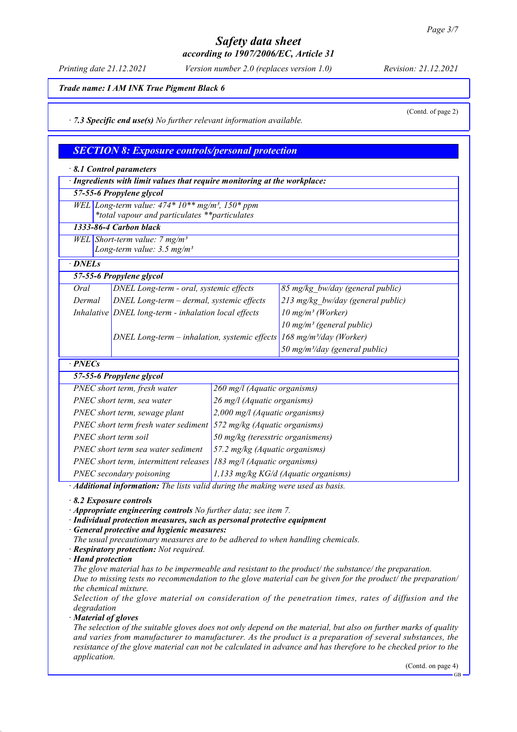#### *Printing date 21.12.2021 Version number 2.0 (replaces version 1.0) Revision: 21.12.2021*

(Contd. of page 2)

*Trade name: I AM INK True Pigment Black 6*

*· 7.3 Specific end use(s) No further relevant information available.*

### *SECTION 8: Exposure controls/personal protection*

|                                                                                        | 8.1 Control parameters                                                                             |                                      |                                            |  |  |
|----------------------------------------------------------------------------------------|----------------------------------------------------------------------------------------------------|--------------------------------------|--------------------------------------------|--|--|
|                                                                                        | · Ingredients with limit values that require monitoring at the workplace:                          |                                      |                                            |  |  |
|                                                                                        | 57-55-6 Propylene glycol                                                                           |                                      |                                            |  |  |
|                                                                                        | WEL Long-term value: $474*10**mg/m^3$ , $150*ppm$<br>*total vapour and particulates **particulates |                                      |                                            |  |  |
|                                                                                        | 1333-86-4 Carbon black                                                                             |                                      |                                            |  |  |
|                                                                                        | WEL Short-term value: $7 mg/m3$                                                                    |                                      |                                            |  |  |
|                                                                                        | Long-term value: $3.5$ mg/m <sup>3</sup>                                                           |                                      |                                            |  |  |
| $\cdot$ DNELs                                                                          |                                                                                                    |                                      |                                            |  |  |
|                                                                                        | 57-55-6 Propylene glycol                                                                           |                                      |                                            |  |  |
| Oral                                                                                   | DNEL Long-term - oral, systemic effects                                                            |                                      | 85 mg/kg bw/day (general public)           |  |  |
| Dermal                                                                                 | DNEL Long-term - dermal, systemic effects                                                          |                                      | 213 mg/kg bw/day (general public)          |  |  |
|                                                                                        | Inhalative DNEL long-term - inhalation local effects                                               |                                      | $10$ mg/m <sup>3</sup> (Worker)            |  |  |
|                                                                                        |                                                                                                    |                                      | 10 mg/m <sup>3</sup> (general public)      |  |  |
|                                                                                        | DNEL Long-term - inhalation, systemic effects                                                      |                                      | 168 mg/m <sup>3</sup> /day (Worker)        |  |  |
|                                                                                        |                                                                                                    |                                      | 50 mg/m <sup>3</sup> /day (general public) |  |  |
| $\cdot$ PNECs                                                                          |                                                                                                    |                                      |                                            |  |  |
|                                                                                        | 57-55-6 Propylene glycol                                                                           |                                      |                                            |  |  |
|                                                                                        | PNEC short term, fresh water                                                                       | 260 mg/l (Aquatic organisms)         |                                            |  |  |
|                                                                                        | PNEC short term, sea water                                                                         | 26 mg/l (Aquatic organisms)          |                                            |  |  |
|                                                                                        | PNEC short term, sewage plant                                                                      | 2,000 mg/l (Aquatic organisms)       |                                            |  |  |
| PNEC short term fresh water sediment                                                   |                                                                                                    | 572 mg/kg (Aquatic organisms)        |                                            |  |  |
| PNEC short term soil                                                                   |                                                                                                    | 50 mg/kg (teresstric organismens)    |                                            |  |  |
| PNEC short term sea water sediment                                                     |                                                                                                    | 57.2 mg/kg (Aquatic organisms)       |                                            |  |  |
| PNEC short term, intermittent releases $183$ mg/l (Aquatic organisms)                  |                                                                                                    |                                      |                                            |  |  |
| PNEC secondary poisoning                                                               |                                                                                                    | 1,133 mg/kg KG/d (Aquatic organisms) |                                            |  |  |
| · Additional information: The lists valid during the making were used as basis.        |                                                                                                    |                                      |                                            |  |  |
| 8.2 Exposure controls<br>Appropriate engineering controls No further data; see item 7. |                                                                                                    |                                      |                                            |  |  |

*· Individual protection measures, such as personal protective equipment*

*· General protective and hygienic measures:*

*The usual precautionary measures are to be adhered to when handling chemicals.*

- *· Respiratory protection: Not required.*
- *· Hand protection*

*The glove material has to be impermeable and resistant to the product/ the substance/ the preparation.*

*Due to missing tests no recommendation to the glove material can be given for the product/ the preparation/ the chemical mixture.*

*Selection of the glove material on consideration of the penetration times, rates of diffusion and the degradation*

*· Material of gloves*

*The selection of the suitable gloves does not only depend on the material, but also on further marks of quality and varies from manufacturer to manufacturer. As the product is a preparation of several substances, the resistance of the glove material can not be calculated in advance and has therefore to be checked prior to the application.*

(Contd. on page 4)

GB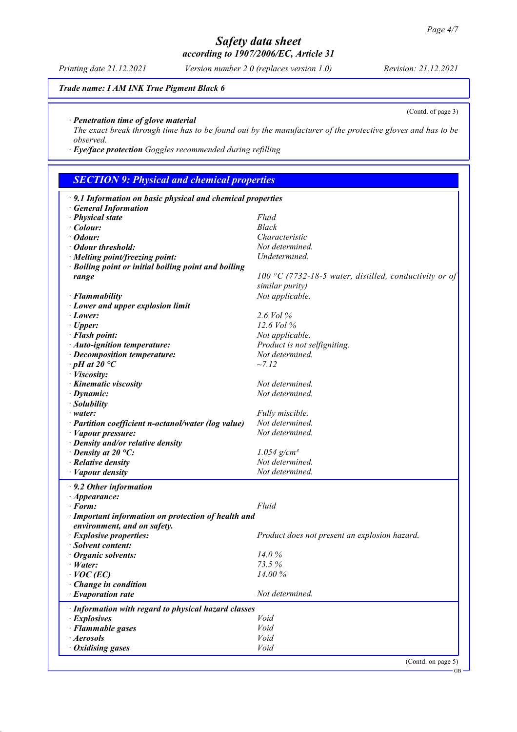### *Printing date 21.12.2021 Version number 2.0 (replaces version 1.0) Revision: 21.12.2021*

(Contd. of page 3)

*Trade name: I AM INK True Pigment Black 6*

### *· Penetration time of glove material*

*The exact break through time has to be found out by the manufacturer of the protective gloves and has to be observed.*

*· Eye/face protection Goggles recommended during refilling*

# *SECTION 9: Physical and chemical properties*

| · 9.1 Information on basic physical and chemical properties |                                                        |  |  |
|-------------------------------------------------------------|--------------------------------------------------------|--|--|
| <b>General Information</b>                                  |                                                        |  |  |
| · Physical state                                            | Fluid                                                  |  |  |
| $\cdot$ Colour:                                             | Black                                                  |  |  |
| $\cdot$ Odour:                                              | Characteristic                                         |  |  |
| · Odour threshold:                                          | Not determined.                                        |  |  |
| · Melting point/freezing point:                             | Undetermined.                                          |  |  |
| · Boiling point or initial boiling point and boiling        |                                                        |  |  |
| range                                                       | 100 °C (7732-18-5 water, distilled, conductivity or of |  |  |
|                                                             | similar purity)                                        |  |  |
| · Flammability                                              | Not applicable.                                        |  |  |
| · Lower and upper explosion limit                           |                                                        |  |  |
| · Lower:                                                    | 2.6 Vol %                                              |  |  |
| $\cdot$ Upper:                                              | 12.6 Vol %                                             |  |  |
| · Flash point:                                              | Not applicable.                                        |  |  |
| · Auto-ignition temperature:                                | Product is not selfigniting.                           |  |  |
| · Decomposition temperature:                                | Not determined.                                        |  |  |
| $\cdot$ pH at 20 $\degree$ C                                | ~27.12                                                 |  |  |
| · Viscosity:                                                |                                                        |  |  |
| · Kinematic viscosity                                       | Not determined.                                        |  |  |
|                                                             | Not determined.                                        |  |  |
| $\cdot$ Dynamic:                                            |                                                        |  |  |
| · Solubility                                                |                                                        |  |  |
| $\cdot$ water:                                              | Fully miscible.                                        |  |  |
| · Partition coefficient n-octanol/water (log value)         | Not determined.                                        |  |  |
| · Vapour pressure:                                          | Not determined.                                        |  |  |
| $\cdot$ Density and/or relative density                     |                                                        |  |  |
| $\cdot$ Density at 20 °C:                                   | $1.054$ g/cm <sup>3</sup>                              |  |  |
| $\cdot$ Relative density                                    | Not determined.                                        |  |  |
| $\cdot$ <i>Vapour density</i>                               | Not determined.                                        |  |  |
| $\cdot$ 9.2 Other information                               |                                                        |  |  |
| $\cdot$ Appearance:                                         |                                                        |  |  |
| $\cdot$ Form:                                               | Fluid                                                  |  |  |
| · Important information on protection of health and         |                                                        |  |  |
| environment, and on safety.                                 |                                                        |  |  |
| · Explosive properties:                                     | Product does not present an explosion hazard.          |  |  |
| · Solvent content:                                          |                                                        |  |  |
| $\cdot$ Organic solvents:                                   | 14.0%                                                  |  |  |
| $\cdot$ Water:                                              | 73.5 %                                                 |  |  |
| $\cdot$ VOC (EC)                                            | 14.00 %                                                |  |  |
| Change in condition                                         |                                                        |  |  |
| · Evaporation rate                                          | Not determined.                                        |  |  |
| · Information with regard to physical hazard classes        |                                                        |  |  |
| $\cdot$ Explosives                                          | Void                                                   |  |  |
| · Flammable gases                                           | Void                                                   |  |  |
| · Aerosols                                                  | Void                                                   |  |  |
| · Oxidising gases                                           | Void                                                   |  |  |
|                                                             |                                                        |  |  |
|                                                             | (Contd. on page 5)                                     |  |  |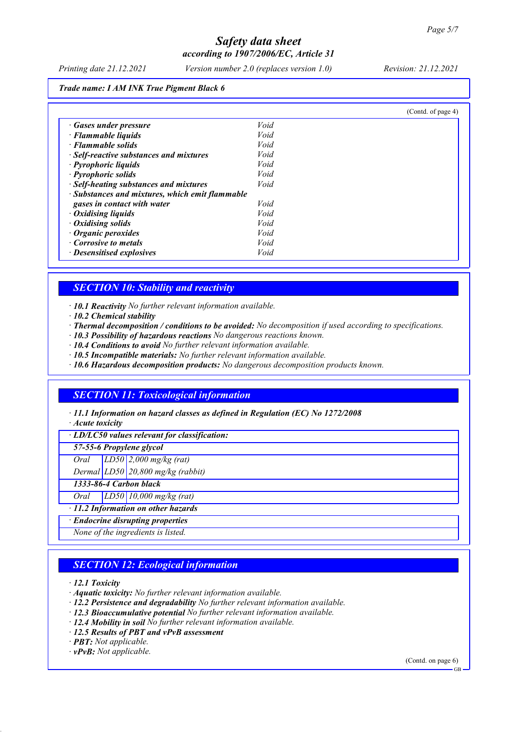*Printing date 21.12.2021 Version number 2.0 (replaces version 1.0) Revision: 21.12.2021*

*Trade name: I AM INK True Pigment Black 6*

|                                                 |      | (Contd. of page 4) |
|-------------------------------------------------|------|--------------------|
| · Gases under pressure                          | Void |                    |
| $\cdot$ Flammable liquids                       | Void |                    |
| · Flammable solids                              | Void |                    |
| · Self-reactive substances and mixtures         | Void |                    |
| · Pyrophoric liquids                            | Void |                    |
| · Pyrophoric solids                             | Void |                    |
| · Self-heating substances and mixtures          | Void |                    |
| · Substances and mixtures, which emit flammable |      |                    |
| gases in contact with water                     | Void |                    |
| $\cdot$ Oxidising liquids                       | Void |                    |
| $\cdot$ Oxidising solids                        | Void |                    |
| $\cdot$ Organic peroxides                       | Void |                    |
| Corrosive to metals                             | Void |                    |
| · Desensitised explosives                       | Void |                    |

### *SECTION 10: Stability and reactivity*

*· 10.1 Reactivity No further relevant information available.*

- *· 10.2 Chemical stability*
- *· Thermal decomposition / conditions to be avoided: No decomposition if used according to specifications.*
- *· 10.3 Possibility of hazardous reactions No dangerous reactions known.*
- *· 10.4 Conditions to avoid No further relevant information available.*
- *· 10.5 Incompatible materials: No further relevant information available.*
- *· 10.6 Hazardous decomposition products: No dangerous decomposition products known.*

## *SECTION 11: Toxicological information*

*· 11.1 Information on hazard classes as defined in Regulation (EC) No 1272/2008*

*· Acute toxicity*

*· LD/LC50 values relevant for classification:*

*57-55-6 Propylene glycol*

*Oral LD50 2,000 mg/kg (rat)*

*Dermal LD50 20,800 mg/kg (rabbit)*

*1333-86-4 Carbon black*

*Oral LD50 10,000 mg/kg (rat)*

*· 11.2 Information on other hazards*

*· Endocrine disrupting properties*

*None of the ingredients is listed.*

## *SECTION 12: Ecological information*

*· 12.1 Toxicity*

- *· Aquatic toxicity: No further relevant information available.*
- *· 12.2 Persistence and degradability No further relevant information available.*
- *· 12.3 Bioaccumulative potential No further relevant information available.*
- *· 12.4 Mobility in soil No further relevant information available.*
- *· 12.5 Results of PBT and vPvB assessment*
- *· PBT: Not applicable.*

*· vPvB: Not applicable.*

(Contd. on page 6)

GB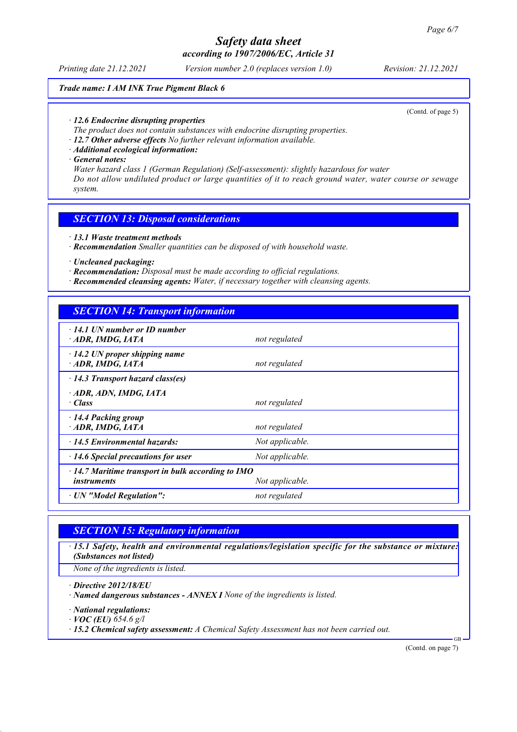#### *Printing date 21.12.2021 Version number 2.0 (replaces version 1.0) Revision: 21.12.2021*

### *Trade name: I AM INK True Pigment Black 6*

(Contd. of page 5)

- *· 12.6 Endocrine disrupting properties*
- *The product does not contain substances with endocrine disrupting properties.*
- *· 12.7 Other adverse effects No further relevant information available.*
- *· Additional ecological information:*
- *· General notes:*

*Water hazard class 1 (German Regulation) (Self-assessment): slightly hazardous for water Do not allow undiluted product or large quantities of it to reach ground water, water course or sewage system.*

### *SECTION 13: Disposal considerations*

- *· 13.1 Waste treatment methods*
- *· Recommendation Smaller quantities can be disposed of with household waste.*
- *· Uncleaned packaging:*
- *· Recommendation: Disposal must be made according to official regulations.*
- *· Recommended cleansing agents: Water, if necessary together with cleansing agents.*

## *SECTION 14: Transport information*

| 14.1 UN number or ID number<br>ADR, IMDG, IATA                                                    | not regulated   |  |
|---------------------------------------------------------------------------------------------------|-----------------|--|
| $\cdot$ 14.2 UN proper shipping name<br>ADR, IMDG, IATA                                           | not regulated   |  |
| $\cdot$ 14.3 Transport hazard class(es)                                                           |                 |  |
| · ADR, ADN, IMDG, IATA<br>· Class                                                                 | not regulated   |  |
| 14.4 Packing group<br>ADR, IMDG, IATA                                                             | not regulated   |  |
| 14.5 Environmental hazards:                                                                       | Not applicable. |  |
| 14.6 Special precautions for user                                                                 | Not applicable. |  |
| $\cdot$ 14.7 Maritime transport in bulk according to IMO<br>Not applicable.<br><i>instruments</i> |                 |  |
| · UN "Model Regulation":                                                                          | not regulated   |  |
|                                                                                                   |                 |  |

## *SECTION 15: Regulatory information*

*· 15.1 Safety, health and environmental regulations/legislation specific for the substance or mixture: (Substances not listed)*

*None of the ingredients is listed.*

*· Directive 2012/18/EU*

- *· Named dangerous substances ANNEX I None of the ingredients is listed.*
- *· National regulations:*

*· VOC (EU) 654.6 g/l*

*· 15.2 Chemical safety assessment: A Chemical Safety Assessment has not been carried out.*

(Contd. on page 7)

GB